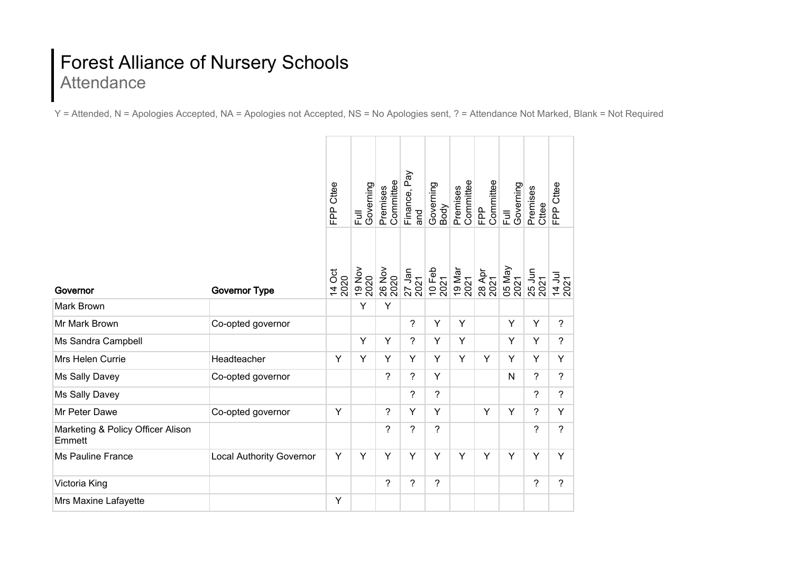## Forest Alliance of Nursery Schools **Attendance**

Y = Attended, N = Apologies Accepted, NA = Apologies not Accepted, NS = No Apologies sent, ? = Attendance Not Marked, Blank = Not Required

|                                             |                                 | <b>FPP Cttee</b> | Governing<br>三<br>Lul | Committee<br>Premises | Finance, Pay<br>and | Governing<br>Body        | Committee<br>Premises | Committee<br>운                   | Governing<br>$\overline{a}$ | Premises<br>Cttee | FPP Cttee                |
|---------------------------------------------|---------------------------------|------------------|-----------------------|-----------------------|---------------------|--------------------------|-----------------------|----------------------------------|-----------------------------|-------------------|--------------------------|
| Governor                                    | <b>Governor Type</b>            | 14 Oct<br>2020   | 19 Nov<br>2020        | 26 Nov                | 27 Jan<br>2021      | 10 Feb<br>2021           |                       | 19 Mar<br>2021<br>28 Apr<br>2021 | 05 May<br>2021              | 25 Jun<br>2021    | 14 Jul<br>2021           |
| Mark Brown                                  |                                 |                  | Y                     | Y                     |                     |                          |                       |                                  |                             |                   |                          |
| Mr Mark Brown                               | Co-opted governor               |                  |                       |                       | ?                   | Y                        | Y                     |                                  | Y                           | Y                 | $\overline{\phantom{a}}$ |
| Ms Sandra Campbell                          |                                 |                  | Y                     | Y                     | ?                   | Y                        | Y                     |                                  | Y                           | Y                 | $\overline{\phantom{a}}$ |
| Mrs Helen Currie                            | Headteacher                     | Y                | Y                     | Y                     | Y                   | Y                        | Y                     | Y                                | Y                           | Y                 | Y                        |
| Ms Sally Davey                              | Co-opted governor               |                  |                       | ?                     | ?                   | Y                        |                       |                                  | N                           | $\overline{?}$    | ?                        |
| Ms Sally Davey                              |                                 |                  |                       |                       | ?                   | ?                        |                       |                                  |                             | ?                 | $\overline{?}$           |
| Mr Peter Dawe                               | Co-opted governor               | Y                |                       | $\overline{?}$        | Y                   | Y                        |                       | Y                                | Y                           | ?                 | Y                        |
| Marketing & Policy Officer Alison<br>Emmett |                                 |                  |                       | ?                     | $\overline{?}$      | $\overline{\phantom{0}}$ |                       |                                  |                             | ?                 | $\overline{?}$           |
| <b>Ms Pauline France</b>                    | <b>Local Authority Governor</b> | Y                | Y                     | Y                     | Y                   | Y                        | Y                     | Y                                | Y                           | Y                 | Y                        |
| Victoria King                               |                                 |                  |                       | $\overline{?}$        | ?                   | ?                        |                       |                                  |                             | $\overline{?}$    | $\overline{?}$           |
| Mrs Maxine Lafayette                        |                                 | Y                |                       |                       |                     |                          |                       |                                  |                             |                   |                          |